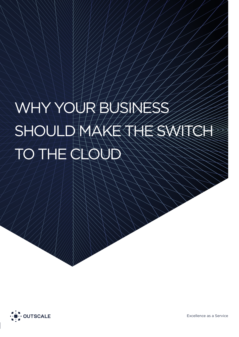# WHY YOUR BUSINESS SHOULD MAKE THE SWITCH TO THE CLOUD

 $\langle \mathcal{N}\rangle$   $\langle \mathcal{N}\rangle$   $\langle \mathcal{N}\rangle$   $\langle \mathcal{N}\rangle$   $\langle \mathcal{N}\rangle$   $\langle \mathcal{N}\rangle$   $\langle \mathcal{N}\rangle$ 

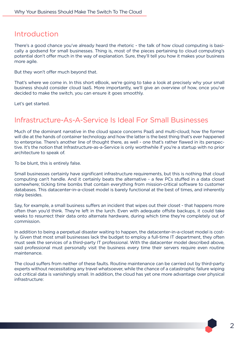## Introduction

There's a good chance you've already heard the rhetoric - the talk of how cloud computing is basically a godsend for small businesses. Thing is, most of the pieces pertaining to cloud computing's potential don't offer much in the way of explanation. Sure, they'll tell you how it makes your business more agile.

But they won't offer much beyond that.

That's where we come in. In this short eBook, we're going to take a look at precisely why your small business should consider cloud IaaS. More importantly, we'll give an overview of how, once you've decided to make the switch, you can ensure it goes smoothly.

Let's get started.

## Infrastructure-As-A-Service Is Ideal For Small Businesses

Much of the dominant narrative in the cloud space concerns PaaS and multi-cloud; how the former will die at the hands of container technology and how the latter is the best thing that's ever happened to enterprise. There's another line of thought there, as well - one that's rather flawed in its perspective. It's the notion that Infrastructure-as-a-Service is only worthwhile if you're a startup with no prior architecture to speak of.

To be blunt, this is entirely false.

Small businesses certainly have significant infrastructure requirements, but this is nothing that cloud computing can't handle. And it certainly beats the alternative - a few PCs stuffed in a data closet somewhere; ticking time bombs that contain everything from mission-critical software to customer databases. This datacenter-in-a-closet model is barely functional at the best of times, and inherently risky besides.

Say, for example, a small business suffers an incident that wipes out their closet - that happens more often than you'd think. They're left in the lurch. Even with adequate offsite backups, it could take weeks to resurrect their data onto alternate hardware, during which time they're completely out of commission.

In addition to being a perpetual disaster waiting to happen, the datacenter-in-a-closet model is costly. Given that most small businesses lack the budget to employ a full-time IT department, they often must seek the services of a third-party IT professional. With the datacenter model described above, said professional must personally visit the business every time their servers require even routine maintenance.

The cloud suffers from neither of these faults. Routine maintenance can be carried out by third-party experts without necessitating any travel whatsoever, while the chance of a catastrophic failure wiping out critical data is vanishingly small. In addition, the cloud has yet one more advantage over physical infrastructure: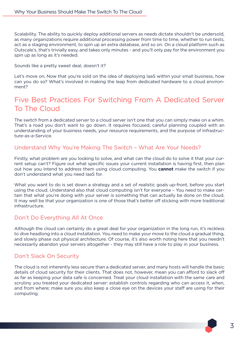Scalability. The ability to quickly deploy additional servers as needs dictate shouldn't be undersold, as many organizations require additional processing power from time to time, whether to run tests, act as a staging environment, to spin up an extra database, and so on. On a cloud platform such as Outscale's, that's trivially easy, and takes only minutes - and you'll only pay for the environment you spin up as long as it's needed.

Sounds like a pretty sweet deal, doesn't it?

Let's move on, Now that you're sold on the idea of deploying IaaS within your small business, how can you do so? What's involved in making the leap from dedicated hardware to a cloud environment?

## Five Best Practices For Switching From A Dedicated Server To The Cloud

The switch from a dedicated server to a cloud server isn't one that you can simply make on a whim. That's a road you don't want to go down. It requires focused, careful planning coupled with an understanding of your business needs, your resource requirements, and the purpose of Infrastructure-as-a-Service.

#### Understand Why You're Making The Switch – What Are Your Needs?

Firstly, what problem are you looking to solve, and what can the cloud do to solve it that your current setup can't? Figure out what specific issues your current installation is having first, then plan out how you intend to address them using cloud computing. You **cannot** make the switch if you don't understand what you need IaaS for.

What you want to do is set down a strategy and a set of realistic goals up-front, before you start using the cloud. Understand also that cloud computing isn't for everyone – You need to make certain that what you're doing with your server is something that can actually be done on the cloud. It may well be that your organization is one of those that's better off sticking with more traditional infrastructure.

#### Don't Do Everything All At Once

Although the cloud can certainly do a great deal for your organization in the long run, it's reckless to dive headlong into a cloud installation. You need to make your move to the cloud a gradual thing, and slowly phase out physical architecture. Of course, it's also worth noting here that you needn't necessarily abandon your servers altogether - they may still have a role to play in your business.

#### Don't Slack On Security

The cloud is not inherently less secure than a dedicated server, and many hosts will handle the basic details of cloud security for their clients. That does not, however, mean you can afford to slack off as far as keeping your data safe is concerned. Treat your cloud installation with the same care and scrutiny you treated your dedicated server: establish controls regarding who can access it, when, and from where; make sure you also keep a close eye on the devices your staff are using for their computing.